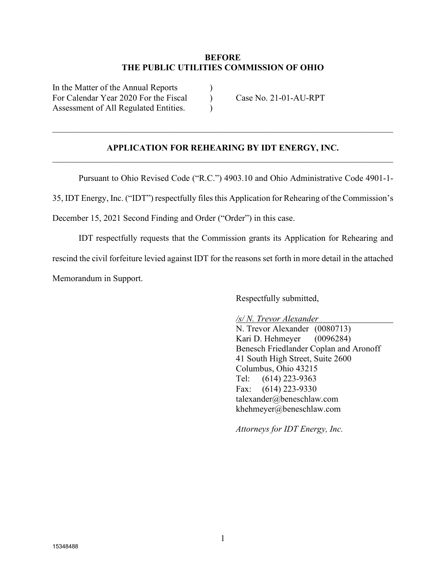### **BEFORE THE PUBLIC UTILITIES COMMISSION OF OHIO**

In the Matter of the Annual Reports  $\qquad \qquad$  ) For Calendar Year 2020 For the Fiscal (Case No. 21-01-AU-RPT) Assessment of All Regulated Entities.

### **APPLICATION FOR REHEARING BY IDT ENERGY, INC.** \_\_\_\_\_\_\_\_\_\_\_\_\_\_\_\_\_\_\_\_\_\_\_\_\_\_\_\_\_\_\_\_\_\_\_\_\_\_\_\_\_\_\_\_\_\_\_\_\_\_\_\_\_\_\_\_\_\_\_\_\_\_\_\_\_\_\_\_\_\_\_\_\_\_\_\_\_\_

Pursuant to Ohio Revised Code ("R.C.") 4903.10 and Ohio Administrative Code 4901-1-

35, IDT Energy, Inc. ("IDT") respectfully files this Application for Rehearing of the Commission's

December 15, 2021 Second Finding and Order ("Order") in this case.

IDT respectfully requests that the Commission grants its Application for Rehearing and rescind the civil forfeiture levied against IDT for the reasons set forth in more detail in the attached Memorandum in Support.

Respectfully submitted,

*/s/ N. Trevor Alexander*

N. Trevor Alexander (0080713) Kari D. Hehmeyer (0096284) Benesch Friedlander Coplan and Aronoff 41 South High Street, Suite 2600 Columbus, Ohio 43215 Tel: (614) 223-9363 Fax: (614) 223-9330 talexander@beneschlaw.com khehmeyer@beneschlaw.com

*Attorneys for IDT Energy, Inc.*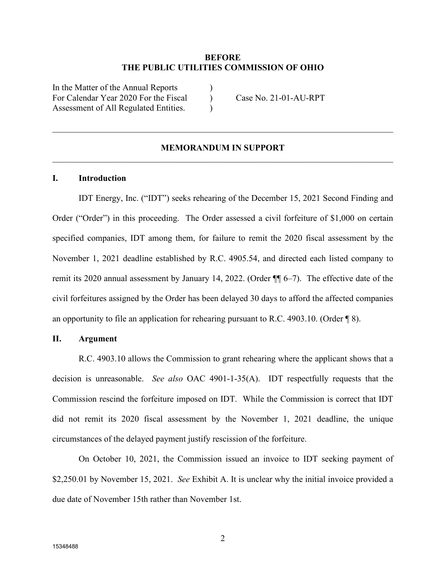#### **BEFORE THE PUBLIC UTILITIES COMMISSION OF OHIO**

In the Matter of the Annual Reports ) For Calendar Year 2020 For the Fiscal Case No. 21-01-AU-RPT Assessment of All Regulated Entities.

### **MEMORANDUM IN SUPPORT** \_\_\_\_\_\_\_\_\_\_\_\_\_\_\_\_\_\_\_\_\_\_\_\_\_\_\_\_\_\_\_\_\_\_\_\_\_\_\_\_\_\_\_\_\_\_\_\_\_\_\_\_\_\_\_\_\_\_\_\_\_\_\_\_\_\_\_\_\_\_\_\_\_\_\_\_\_\_

#### **I. Introduction**

IDT Energy, Inc. ("IDT") seeks rehearing of the December 15, 2021 Second Finding and Order ("Order") in this proceeding. The Order assessed a civil forfeiture of \$1,000 on certain specified companies, IDT among them, for failure to remit the 2020 fiscal assessment by the November 1, 2021 deadline established by R.C. 4905.54, and directed each listed company to remit its 2020 annual assessment by January 14, 2022. (Order ¶¶ 6–7). The effective date of the civil forfeitures assigned by the Order has been delayed 30 days to afford the affected companies an opportunity to file an application for rehearing pursuant to R.C. 4903.10. (Order ¶ 8).

#### **II. Argument**

R.C. 4903.10 allows the Commission to grant rehearing where the applicant shows that a decision is unreasonable. *See also* OAC 4901-1-35(A). IDT respectfully requests that the Commission rescind the forfeiture imposed on IDT. While the Commission is correct that IDT did not remit its 2020 fiscal assessment by the November 1, 2021 deadline, the unique circumstances of the delayed payment justify rescission of the forfeiture.

On October 10, 2021, the Commission issued an invoice to IDT seeking payment of \$2,250.01 by November 15, 2021. *See* Exhibit A. It is unclear why the initial invoice provided a due date of November 15th rather than November 1st.

2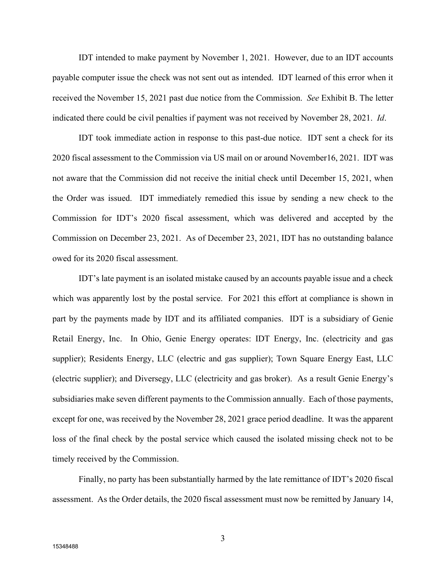IDT intended to make payment by November 1, 2021. However, due to an IDT accounts payable computer issue the check was not sent out as intended. IDT learned of this error when it received the November 15, 2021 past due notice from the Commission. *See* Exhibit B. The letter indicated there could be civil penalties if payment was not received by November 28, 2021. *Id*.

IDT took immediate action in response to this past-due notice. IDT sent a check for its 2020 fiscal assessment to the Commission via US mail on or around November16, 2021. IDT was not aware that the Commission did not receive the initial check until December 15, 2021, when the Order was issued. IDT immediately remedied this issue by sending a new check to the Commission for IDT's 2020 fiscal assessment, which was delivered and accepted by the Commission on December 23, 2021. As of December 23, 2021, IDT has no outstanding balance owed for its 2020 fiscal assessment.

IDT's late payment is an isolated mistake caused by an accounts payable issue and a check which was apparently lost by the postal service. For 2021 this effort at compliance is shown in part by the payments made by IDT and its affiliated companies. IDT is a subsidiary of Genie Retail Energy, Inc. In Ohio, Genie Energy operates: IDT Energy, Inc. (electricity and gas supplier); Residents Energy, LLC (electric and gas supplier); Town Square Energy East, LLC (electric supplier); and Diversegy, LLC (electricity and gas broker). As a result Genie Energy's subsidiaries make seven different payments to the Commission annually. Each of those payments, except for one, was received by the November 28, 2021 grace period deadline. It was the apparent loss of the final check by the postal service which caused the isolated missing check not to be timely received by the Commission.

Finally, no party has been substantially harmed by the late remittance of IDT's 2020 fiscal assessment. As the Order details, the 2020 fiscal assessment must now be remitted by January 14,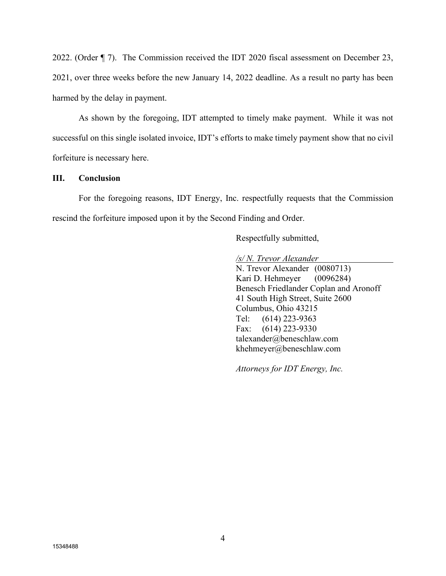2022. (Order ¶ 7). The Commission received the IDT 2020 fiscal assessment on December 23, 2021, over three weeks before the new January 14, 2022 deadline. As a result no party has been harmed by the delay in payment.

As shown by the foregoing, IDT attempted to timely make payment. While it was not successful on this single isolated invoice, IDT's efforts to make timely payment show that no civil forfeiture is necessary here.

### **III. Conclusion**

For the foregoing reasons, IDT Energy, Inc. respectfully requests that the Commission rescind the forfeiture imposed upon it by the Second Finding and Order.

Respectfully submitted,

*/s/ N. Trevor Alexander*

N. Trevor Alexander (0080713) Kari D. Hehmeyer (0096284) Benesch Friedlander Coplan and Aronoff 41 South High Street, Suite 2600 Columbus, Ohio 43215 Tel: (614) 223-9363 Fax: (614) 223-9330 talexander@beneschlaw.com khehmeyer@beneschlaw.com

*Attorneys for IDT Energy, Inc.*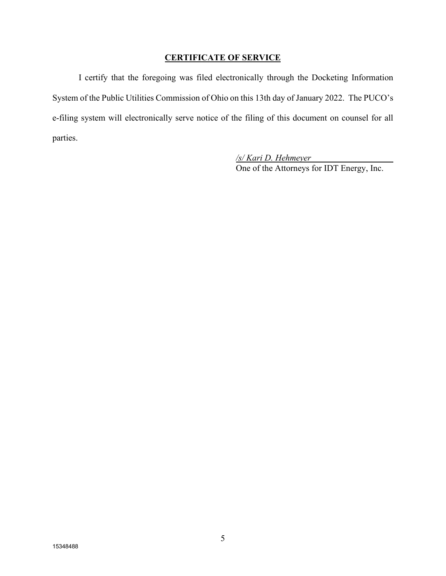### **CERTIFICATE OF SERVICE**

I certify that the foregoing was filed electronically through the Docketing Information System of the Public Utilities Commission of Ohio on this 13th day of January 2022. The PUCO's e-filing system will electronically serve notice of the filing of this document on counsel for all parties.

> */s/ Kari D. Hehmeyer* One of the Attorneys for IDT Energy, Inc.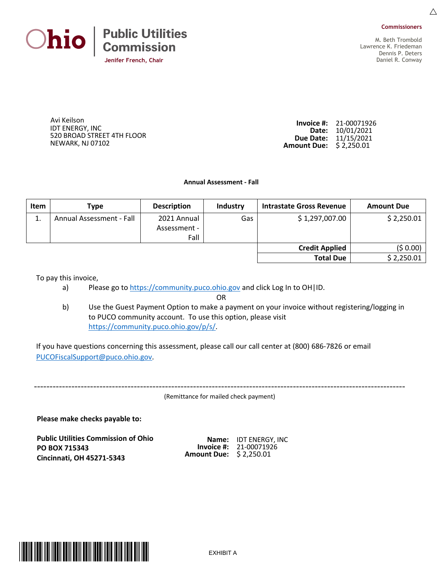



 $\triangle$ 

M. Beth Trombold Lawrence K. Friedeman Dennis P. Deters Daniel R. Conway

 Avi Keilson IDT ENERGY, INC 520 BROAD STREET 4TH FLOOR NEWARK, NJ 07102

**Invoice #:** 21-00071926 **Date:** 10/01/2021 **Due Date:** 11/15/2021 **Amount Due:** \$ 2,250.01

**Annual Assessment - Fall**

| <b>Item</b> | Type                     | <b>Description</b> | Industry | Intrastate Gross Revenue | <b>Amount Due</b> |
|-------------|--------------------------|--------------------|----------|--------------------------|-------------------|
| ⊥.          | Annual Assessment - Fall | 2021 Annual        | Gas      | \$1,297,007.00           | \$2,250.01        |
|             |                          | Assessment -       |          |                          |                   |
|             |                          | Fall               |          |                          |                   |
|             |                          |                    |          | <b>Credit Applied</b>    | (\$ 0.00)         |
|             |                          |                    |          | <b>Total Due</b>         | \$2,250.01        |

To pay this invoice,

a) Please go to [https://community.puco.ohio.gov](https://community.puco.ohio.gov/) and click Log In to OH | ID.

OR

b) Use the Guest Payment Option to make a payment on your invoice without registering/logging in to PUCO community account. To use this option, please visit [https://community.puco.ohio.gov/p/s/.](https://community.puco.ohio.gov/p/s/)

If you have questions concerning this assessment, please call our call center at (800) 686-7826 or email [PUCOFiscalSupport@puco.ohio.gov.](mailto:PUCOFiscalSupport@puco.ohio.gov)

-----------------------------------------------------------------------------------------------------------------------

(Remittance for mailed check payment)

**Please make checks payable to:** 

**Public Utilities Commission of Ohio PO BOX 715343 Cincinnati, OH 45271-5343**

| Name:              | <b>IDT ENERGY, INC</b> |
|--------------------|------------------------|
| Invoice #:         | 21-00071926            |
| <b>Amount Due:</b> | \$2,250.01             |

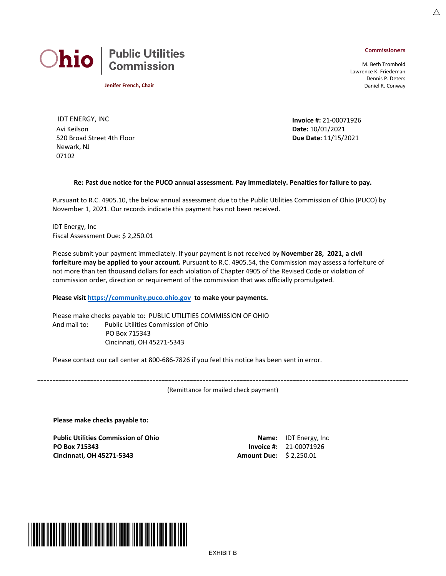#### **Commissioners**

M. Beth Trombold Lawrence K. Friedeman Dennis P. Deters Daniel R. Conway



**Jenifer French, Chair**

IDT ENERGY, INC **Invoice #:** 21-00071926 Avi Keilson 520 Broad Street 4th Floor Newark, NJ 07102

**Date:** 10/01/2021 **Due Date:** 11/15/2021

#### **Re: Past due notice for the PUCO annual assessment. Pay immediately. Penalties for failure to pay.**

Pursuant to R.C. 4905.10, the below annual assessment due to the Public Utilities Commission of Ohio (PUCO) by November 1, 2021. Our records indicate this payment has not been received.

IDT Energy, Inc Fiscal Assessment Due: \$ 2,250.01

Please submit your payment immediately. If your payment is not received by **November 28, 2021, a civil forfeiture may be applied to your account.** Pursuant to R.C. 4905.54, the Commission may assess a forfeiture of not more than ten thousand dollars for each violation of Chapter 4905 of the Revised Code or violation of commission order, direction or requirement of the commission that was officially promulgated.

#### **Please visit [https://community.puco.ohio.gov](https://community.puco.ohio.gov/) to make your payments.**

Please make checks payable to: PUBLIC UTILITIES COMMISSION OF OHIO And mail to: Public Utilities Commission of Ohio PO Box 715343 Cincinnati, OH 45271-5343

Please contact our call center at 800-686-7826 if you feel this notice has been sent in error.

----------------------------------------------------------------------------------------------------------------------- (Remittance for mailed check payment)

**Please make checks payable to:** 

**Public Utilities Commission of Ohio PO Box 715343 Cincinnati, OH 45271-5343 Amount Due:** \$ 2,250.01

**Name:** IDT Energy, Inc **Invoice #:** 21-00071926